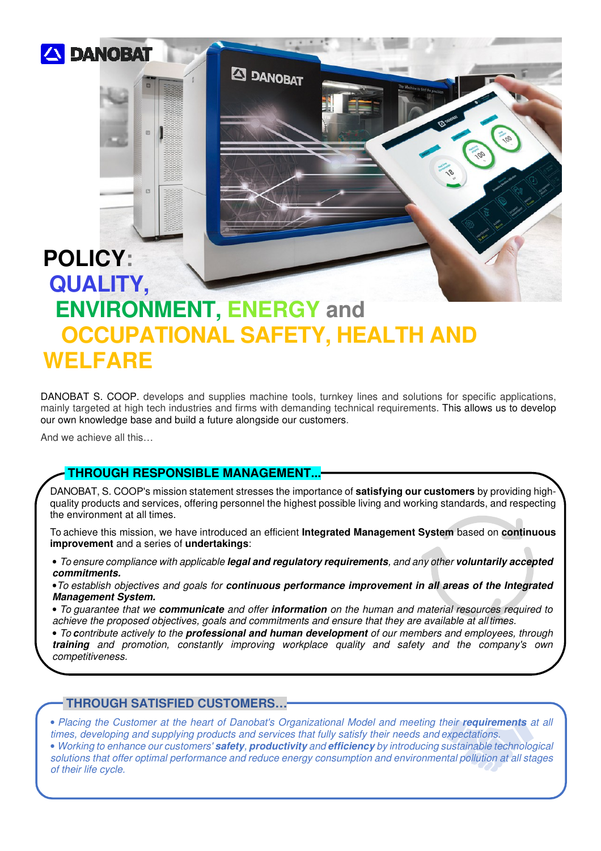

# **QUALITY, ENVIRONMENT, ENERGY and OCCUPATIONAL SAFETY, HEALTH AND WELFARE**

**ED DANOBAT** 

DANOBAT S. COOP. develops and supplies machine tools, turnkey lines and solutions for specific applications, mainly targeted at high tech industries and firms with demanding technical requirements. This allows us to develop our own knowledge base and build a future alongside our customers.

And we achieve all this…

**POLICY:**

**THROUGH RESPONSIBLE MANAGEMENT...**

DANOBAT, S. COOP's mission statement stresses the importance of **satisfying our customers** by providing highquality products and services, offering personnel the highest possible living and working standards, and respecting the environment at all times.

To achieve this mission, we have introduced an efficient **Integrated Management System** based on **continuous improvement** and a series of **undertakings**:

• *To ensure compliance with applicable* **legal and regulatory requirements***, and any other* **voluntarily accepted commitments.** 

•*To establish objectives and goals for* **continuous performance improvement in all areas of the Integrated Management System.** 

• *To guarantee that we* **communicate** *and offer* **information** *on the human and material resources required to achieve the proposed objectives, goals and commitments and ensure that they are available at all times.* 

• *To* **c***ontribute actively to the* **professional and human development** *of our members and employees, through*  **training** *and promotion, constantly improving workplace quality and safety and the company's own competitiveness.* 

#### **THROUGH SATISFIED CUSTOMERS…**

• Placing the Customer at the heart of Danobat's Organizational Model and meeting their **requirements** at all *times, developing and supplying products and services that fully satisfy their needs and expectations.* • *Working to enhance our customers'* **safety***,* **productivity** *and* **efficiency** *by introducing sustainable technological solutions that offer optimal performance and reduce energy consumption and environmental pollution at all stages of their life cycle.*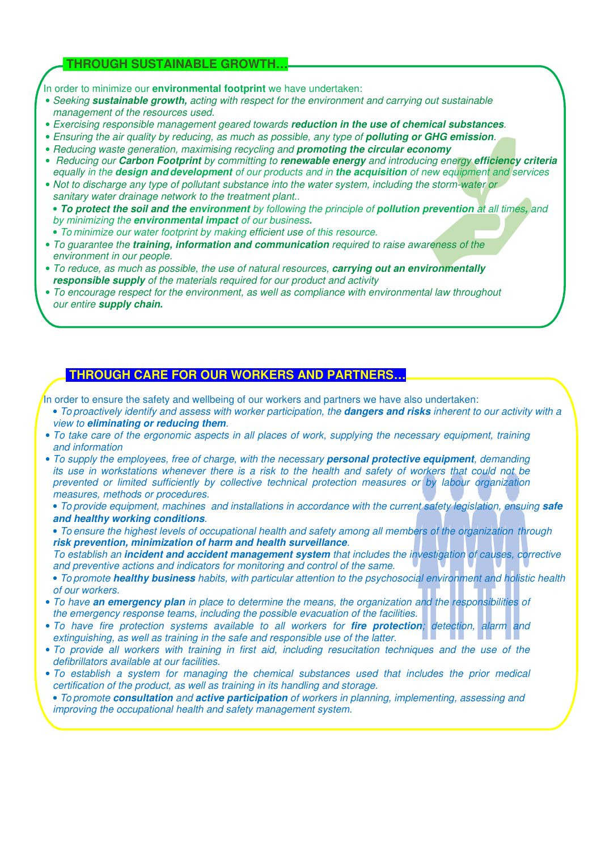### **THROUGH SUSTAINABLE GROWTH…**

In order to minimize our **environmental footprint** we have undertaken:

- *Seeking* **sustainable growth,** *acting with respect for the environment and carrying out sustainable management of the resources used.*
- *Exercising responsible management geared towards* **reduction in the use of chemical substances***.*
- *Ensuring the air quality by reducing, as much as possible, any type of polluting or GHG emission.*
- *Reducing waste generation, maximising recycling and* **promoting the circular economy**
- • *Reducing our* **Carbon Footprint** *by committing to* **renewable energy** *and introducing energy* **efficiency criteria** *equally in the* **design and development** *of our products and in* **the acquisition** *of new equipment and services*
- *Not to discharge any type of pollutant substance into the water system, including the storm-water or sanitary water drainage network to the treatment plant..*
- **To protect the soil and the environment** *by following the principle of* **pollution prevention** *at all times***,** *and by minimizing the* **environmental impact** *of our business***.**
- *To minimize our water footprint by making efficient use of this resource.*
- *To guarantee the* **training, information and communication** *required to raise awareness of the environment in our people.*
- *To reduce, as much as possible, the use of natural resources,* **carrying out an environmentally responsible supply** *of the materials required for our product and activity*
- *To encourage respect for the environment, as well as compliance with environmental law throughout our entire* **supply chain.**

### **THROUGH CARE FOR OUR WORKERS AND PARTNERS…**

In order to ensure the safety and wellbeing of our workers and partners we have also undertaken:

- *To proactively identify and assess with worker participation, the* **dangers and risks** *inherent to our activity with a view to* **eliminating or reducing them***.*
- *To take care of the ergonomic aspects in all places of work, supplying the necessary equipment, training and information*
- *To supply the employees, free of charge, with the necessary* **personal protective equipment***, demanding its use in workstations whenever there is a risk to the health and safety of workers that could not be prevented or limited sufficiently by collective technical protection measures or by labour organization measures, methods or procedures.*
	- *To provide equipment, machines and installations in accordance with the current safety legislation, ensuing safe* **and healthy working conditions***.*
	- *To ensure the highest levels of occupational health and safety among all members of the organization through* **risk prevention, minimization of harm and health surveillance***.*
	- *To establish an* **incident and accident management system** *that includes the investigation of causes, corrective and preventive actions and indicators for monitoring and control of the same.*
- *To promote* **healthy business** *habits, with particular attention to the psychosocial environment and holistic health of our workers.*
- *To have* **an emergency plan** *in place to determine the means, the organization and the responsibilities of the emergency response teams, including the possible evacuation of the facilities.*
- *To have fire protection systems available to all workers for* **fire protection***; detection, alarm and extinguishing, as well as training in the safe and responsible use of the latter.*
- *To provide all workers with training in first aid, including resucitation techniques and the use of the defibrillators available at our facilities.*
- *To establish a system for managing the chemical substances used that includes the prior medical certification of the product, as well as training in its handling and storage.*
- *To promote* **consultation** *and* **active participation** *of workers in planning, implementing, assessing and improving the occupational health and safety management system.*